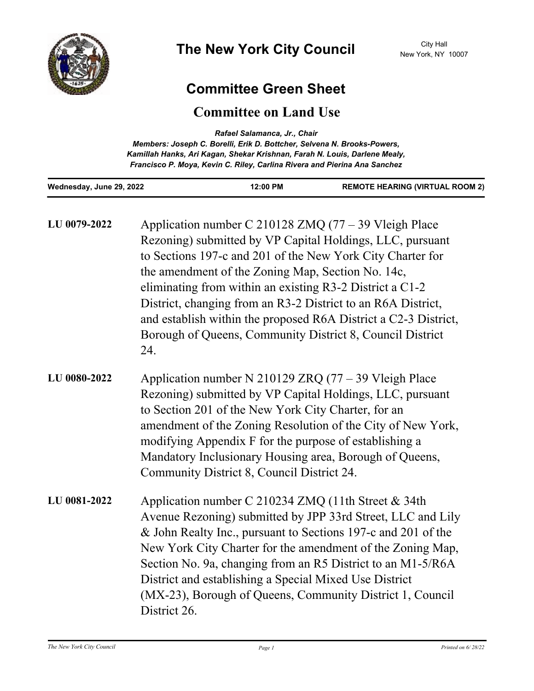

## **Committee Green Sheet**

## **Committee on Land Use**

| Rafael Salamanca, Jr., Chair<br>Members: Joseph C. Borelli, Erik D. Bottcher, Selvena N. Brooks-Powers,<br>Kamillah Hanks, Ari Kagan, Shekar Krishnan, Farah N. Louis, Darlene Mealy,<br>Francisco P. Moya, Kevin C. Riley, Carlina Rivera and Pierina Ana Sanchez |                                                                                                                                                                                                                                                                                                                                                                                                                                                                                                            |          |                                        |
|--------------------------------------------------------------------------------------------------------------------------------------------------------------------------------------------------------------------------------------------------------------------|------------------------------------------------------------------------------------------------------------------------------------------------------------------------------------------------------------------------------------------------------------------------------------------------------------------------------------------------------------------------------------------------------------------------------------------------------------------------------------------------------------|----------|----------------------------------------|
| Wednesday, June 29, 2022                                                                                                                                                                                                                                           |                                                                                                                                                                                                                                                                                                                                                                                                                                                                                                            | 12:00 PM | <b>REMOTE HEARING (VIRTUAL ROOM 2)</b> |
| LU 0079-2022                                                                                                                                                                                                                                                       | Application number C 210128 ZMQ $(77 – 39$ Vleigh Place<br>Rezoning) submitted by VP Capital Holdings, LLC, pursuant<br>to Sections 197-c and 201 of the New York City Charter for<br>the amendment of the Zoning Map, Section No. 14c,<br>eliminating from within an existing R3-2 District a C1-2<br>District, changing from an R3-2 District to an R6A District,<br>and establish within the proposed R6A District a C2-3 District,<br>Borough of Queens, Community District 8, Council District<br>24. |          |                                        |
| LU 0080-2022                                                                                                                                                                                                                                                       | Application number N 210129 ZRQ $(77 – 39$ Vleigh Place<br>Rezoning) submitted by VP Capital Holdings, LLC, pursuant<br>to Section 201 of the New York City Charter, for an<br>amendment of the Zoning Resolution of the City of New York,<br>modifying Appendix F for the purpose of establishing a<br>Mandatory Inclusionary Housing area, Borough of Queens,<br>Community District 8, Council District 24.                                                                                              |          |                                        |
| LU 0081-2022                                                                                                                                                                                                                                                       | Application number C 210234 ZMQ (11th Street & 34th<br>Avenue Rezoning) submitted by JPP 33rd Street, LLC and Lily<br>& John Realty Inc., pursuant to Sections 197-c and 201 of the<br>New York City Charter for the amendment of the Zoning Map,<br>Section No. 9a, changing from an R5 District to an M1-5/R6A<br>District and establishing a Special Mixed Use District<br>(MX-23), Borough of Queens, Community District 1, Council<br>District 26.                                                    |          |                                        |